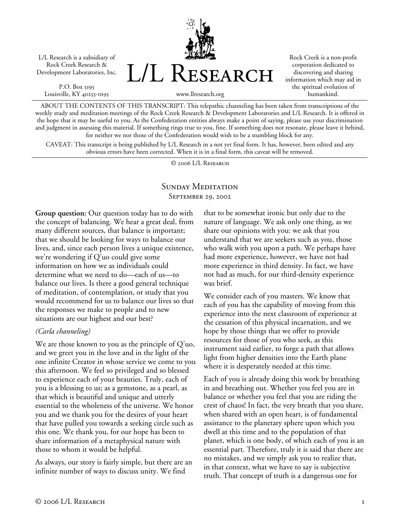L/L Research is a subsidiary of Rock Creek Research & Development Laboratories, Inc.

P.O. Box 5195 Louisville, KY 40255-0195



Rock Creek is a non-profit corporation dedicated to discovering and sharing information which may aid in the spiritual evolution of humankind.

www.llresearch.org

ABOUT THE CONTENTS OF THIS TRANSCRIPT: This telepathic channeling has been taken from transcriptions of the weekly study and meditation meetings of the Rock Creek Research & Development Laboratories and L/L Research. It is offered in the hope that it may be useful to you. As the Confederation entities always make a point of saying, please use your discrimination and judgment in assessing this material. If something rings true to you, fine. If something does not resonate, please leave it behind, for neither we nor those of the Confederation would wish to be a stumbling block for any.

CAVEAT: This transcript is being published by L/L Research in a not yet final form. It has, however, been edited and any obvious errors have been corrected. When it is in a final form, this caveat will be removed.

© 2006 L/L Research

### SUNDAY MEDITATION September 29, 2002

**Group question:** Our question today has to do with the concept of balancing. We hear a great deal, from many different sources, that balance is important; that we should be looking for ways to balance our lives, and, since each person lives a unique existence, we're wondering if Q'uo could give some information on how we as individuals could determine what we need to do—each of us—to balance our lives. Is there a good general technique of meditation, of contemplation, or study that you would recommend for us to balance our lives so that the responses we make to people and to new situations are our highest and our best?

#### *(Carla channeling)*

We are those known to you as the principle of Q'uo, and we greet you in the love and in the light of the one infinite Creator in whose service we come to you this afternoon. We feel so privileged and so blessed to experience each of your beauties. Truly, each of you is a blessing to us; as a gemstone, as a pearl, as that which is beautiful and unique and utterly essential to the wholeness of the universe. We honor you and we thank you for the desires of your heart that have pulled you towards a seeking circle such as this one. We thank you, for our hope has been to share information of a metaphysical nature with those to whom it would be helpful.

As always, our story is fairly simple, but there are an infinite number of ways to discuss unity. We find

that to be somewhat ironic but only due to the nature of language. We ask only one thing, as we share our opinions with you: we ask that you understand that we are seekers such as you, those who walk with you upon a path. We perhaps have had more experience, however, we have not had more experience in third density. In fact, we have not had as much, for our third-density experience was brief.

We consider each of you masters. We know that each of you has the capability of moving from this experience into the next classroom of experience at the cessation of this physical incarnation, and we hope by those things that we offer to provide resources for those of you who seek, as this instrument said earlier, to forge a path that allows light from higher densities into the Earth plane where it is desperately needed at this time.

Each of you is already doing this work by breathing in and breathing out. Whether you feel you are in balance or whether you feel that you are riding the crest of chaos! In fact, the very breath that you share, when shared with an open heart, is of fundamental assistance to the planetary sphere upon which you dwell at this time and to the population of that planet, which is one body, of which each of you is an essential part. Therefore, truly it is said that there are no mistakes, and we simply ask you to realize that, in that context, what we have to say is subjective truth. That concept of truth is a dangerous one for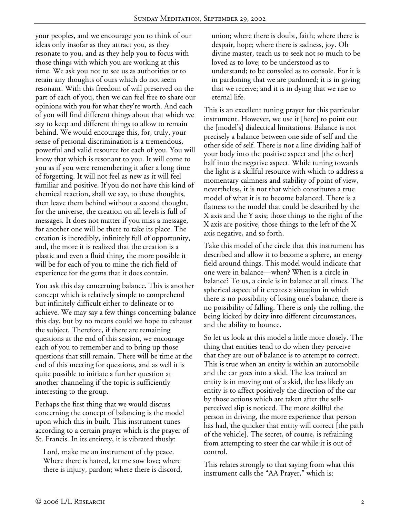your peoples, and we encourage you to think of our ideas only insofar as they attract you, as they resonate to you, and as they help you to focus with those things with which you are working at this time. We ask you not to see us as authorities or to retain any thoughts of ours which do not seem resonant. With this freedom of will preserved on the part of each of you, then we can feel free to share our opinions with you for what they're worth. And each of you will find different things about that which we say to keep and different things to allow to remain behind. We would encourage this, for, truly, your sense of personal discrimination is a tremendous, powerful and valid resource for each of you. You will know that which is resonant to you. It will come to you as if you were remembering it after a long time of forgetting. It will not feel as new as it will feel familiar and positive. If you do not have this kind of chemical reaction, shall we say, to these thoughts, then leave them behind without a second thought, for the universe, the creation on all levels is full of messages. It does not matter if you miss a message, for another one will be there to take its place. The creation is incredibly, infinitely full of opportunity, and, the more it is realized that the creation is a plastic and even a fluid thing, the more possible it will be for each of you to mine the rich field of experience for the gems that it does contain.

You ask this day concerning balance. This is another concept which is relatively simple to comprehend but infinitely difficult either to delineate or to achieve. We may say a few things concerning balance this day, but by no means could we hope to exhaust the subject. Therefore, if there are remaining questions at the end of this session, we encourage each of you to remember and to bring up those questions that still remain. There will be time at the end of this meeting for questions, and as well it is quite possible to initiate a further question at another channeling if the topic is sufficiently interesting to the group.

Perhaps the first thing that we would discuss concerning the concept of balancing is the model upon which this in built. This instrument tunes according to a certain prayer which is the prayer of St. Francis. In its entirety, it is vibrated thusly:

Lord, make me an instrument of thy peace. Where there is hatred, let me sow love; where there is injury, pardon; where there is discord, union; where there is doubt, faith; where there is despair, hope; where there is sadness, joy. Oh divine master, teach us to seek not so much to be loved as to love; to be understood as to understand; to be consoled as to console. For it is in pardoning that we are pardoned; it is in giving that we receive; and it is in dying that we rise to eternal life.

This is an excellent tuning prayer for this particular instrument. However, we use it [here] to point out the [model's] dialectical limitations. Balance is not precisely a balance between one side of self and the other side of self. There is not a line dividing half of your body into the positive aspect and [the other] half into the negative aspect. While tuning towards the light is a skillful resource with which to address a momentary calmness and stability of point of view, nevertheless, it is not that which constitutes a true model of what it is to become balanced. There is a flatness to the model that could be described by the X axis and the Y axis; those things to the right of the X axis are positive, those things to the left of the X axis negative, and so forth.

Take this model of the circle that this instrument has described and allow it to become a sphere, an energy field around things. This model would indicate that one were in balance—when? When is a circle in balance? To us, a circle is in balance at all times. The spherical aspect of it creates a situation in which there is no possibility of losing one's balance, there is no possibility of falling. There is only the rolling, the being kicked by deity into different circumstances, and the ability to bounce.

So let us look at this model a little more closely. The thing that entities tend to do when they perceive that they are out of balance is to attempt to correct. This is true when an entity is within an automobile and the car goes into a skid. The less trained an entity is in moving out of a skid, the less likely an entity is to affect positively the direction of the car by those actions which are taken after the selfperceived slip is noticed. The more skillful the person in driving, the more experience that person has had, the quicker that entity will correct [the path of the vehicle]. The secret, of course, is refraining from attempting to steer the car while it is out of control.

This relates strongly to that saying from what this instrument calls the "AA Prayer," which is: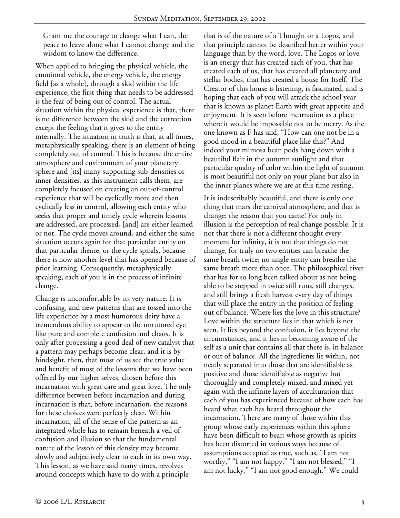Grant me the courage to change what I can, the peace to leave alone what I cannot change and the wisdom to know the difference.

When applied to bringing the physical vehicle, the emotional vehicle, the energy vehicle, the energy field [as a whole], through a skid within the life experience, the first thing that needs to be addressed is the fear of being out of control. The actual situation within the physical experience is that, there is no difference between the skid and the correction except the feeling that it gives to the entity internally. The situation in truth is that, at all times, metaphysically speaking, there is an element of being completely out of control. This is because the entire atmosphere and environment of your planetary sphere and [its] many supporting sub-densities or inner-densities, as this instrument calls them, are completely focused on creating an out-of-control experience that will be cyclically more and then cyclically less in control, allowing each entity who seeks that proper and timely cycle wherein lessons are addressed, are processed, [and] are either learned or not. The cycle moves around, and either the same situation occurs again for that particular entity on that particular theme, or the cycle spirals, because there is now another level that has opened because of prior learning. Consequently, metaphysically speaking, each of you is in the process of infinite change.

Change is uncomfortable by its very nature. It is confusing, and new patterns that are tossed into the life experience by a most humorous deity have a tremendous ability to appear to the untutored eye like pure and complete confusion and chaos. It is only after processing a good deal of new catalyst that a pattern may perhaps become clear, and it is by hindsight, then, that most of us see the true value and benefit of most of the lessons that we have been offered by our higher selves, chosen before this incarnation with great care and great love. The only difference between before incarnation and during incarnation is that, before incarnation, the reasons for these choices were perfectly clear. Within incarnation, all of the sense of the pattern as an integrated whole has to remain beneath a veil of confusion and illusion so that the fundamental nature of the lesson of this density may become slowly and subjectively clear to each in its own way. This lesson, as we have said many times, revolves around concepts which have to do with a principle

that is of the nature of a Thought or a Logos, and that principle cannot be described better within your language than by the word, love. The Logos or love is an energy that has created each of you, that has created each of us, that has created all planetary and stellar bodies, that has created a house for Itself. The Creator of this house is listening, is fascinated, and is hoping that each of you will attack the school year that is known as planet Earth with great appetite and enjoyment. It is seen before incarnation as a place where it would be impossible not to be merry. As the one known as F has said, "How can one not be in a good mood in a beautiful place like this?" And indeed your mimosa bean pods hang down with a beautiful flair in the autumn sunlight and that particular quality of color within the light of autumn is most beautiful not only on your plane but also in the inner planes where we are at this time resting.

It is indescribably beautiful, and there is only one thing that mars the carnival atmosphere, and that is change: the reason that you came! For only in illusion is the perception of real change possible. It is not that there is not a different thought every moment for infinity, it is not that things do not change, for truly no two entities can breathe the same breath twice; no single entity can breathe the same breath more than once. The philosophical river that has for so long been talked about as not being able to be stepped in twice still runs, still changes, and still brings a fresh harvest every day of things that will place the entity in the position of feeling out of balance. Where lies the love in this structure? Love within the structure lies in that which is not seen. It lies beyond the confusion, it lies beyond the circumstances, and it lies in becoming aware of the self as a unit that contains all that there is, in balance or out of balance. All the ingredients lie within, not neatly separated into those that are identifiable as positive and those identifiable as negative but thoroughly and completely mixed, and mixed yet again with the infinite layers of acculturation that each of you has experienced because of how each has heard what each has heard throughout the incarnation. There are many of those within this group whose early experiences within this sphere have been difficult to bear; whose growth as spirits has been distorted in various ways because of assumptions accepted as true, such as, "I am not worthy," "I am not happy," "I am not blessed," "I am not lucky," "I am not good enough." We could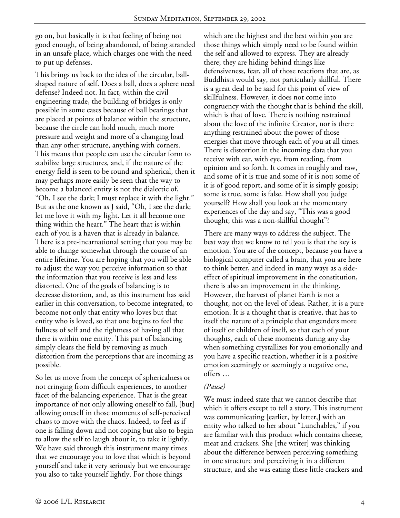go on, but basically it is that feeling of being not good enough, of being abandoned, of being stranded in an unsafe place, which charges one with the need to put up defenses.

This brings us back to the idea of the circular, ballshaped nature of self. Does a ball, does a sphere need defense? Indeed not. In fact, within the civil engineering trade, the building of bridges is only possible in some cases because of ball bearings that are placed at points of balance within the structure, because the circle can hold much, much more pressure and weight and more of a changing load than any other structure, anything with corners. This means that people can use the circular form to stabilize large structures, and, if the nature of the energy field is seen to be round and spherical, then it may perhaps more easily be seen that the way to become a balanced entity is not the dialectic of, "Oh, I see the dark; I must replace it with the light." But as the one known as J said, "Oh, I see the dark; let me love it with my light. Let it all become one thing within the heart." The heart that is within each of you is a haven that is already in balance. There is a pre-incarnational setting that you may be able to change somewhat through the course of an entire lifetime. You are hoping that you will be able to adjust the way you perceive information so that the information that you receive is less and less distorted. One of the goals of balancing is to decrease distortion, and, as this instrument has said earlier in this conversation, to become integrated, to become not only that entity who loves but that entity who is loved, so that one begins to feel the fullness of self and the rightness of having all that there is within one entity. This part of balancing simply clears the field by removing as much distortion from the perceptions that are incoming as possible.

So let us move from the concept of sphericalness or not cringing from difficult experiences, to another facet of the balancing experience. That is the great importance of not only allowing oneself to fall, [but] allowing oneself in those moments of self-perceived chaos to move with the chaos. Indeed, to feel as if one is falling down and not coping but also to begin to allow the self to laugh about it, to take it lightly. We have said through this instrument many times that we encourage you to love that which is beyond yourself and take it very seriously but we encourage you also to take yourself lightly. For those things

which are the highest and the best within you are those things which simply need to be found within the self and allowed to express. They are already there; they are hiding behind things like defensiveness, fear, all of those reactions that are, as Buddhists would say, not particularly skillful. There is a great deal to be said for this point of view of skillfulness. However, it does not come into congruency with the thought that is behind the skill, which is that of love. There is nothing restrained about the love of the infinite Creator, nor is there anything restrained about the power of those energies that move through each of you at all times. There is distortion in the incoming data that you receive with ear, with eye, from reading, from opinion and so forth. It comes in roughly and raw, and some of it is true and some of it is not; some of it is of good report, and some of it is simply gossip; some is true, some is false. How shall you judge yourself? How shall you look at the momentary experiences of the day and say, "This was a good thought; this was a non-skillful thought"?

There are many ways to address the subject. The best way that we know to tell you is that the key is emotion. You are of the concept, because you have a biological computer called a brain, that you are here to think better, and indeed in many ways as a sideeffect of spiritual improvement in the constitution, there is also an improvement in the thinking. However, the harvest of planet Earth is not a thought, not on the level of ideas. Rather, it is a pure emotion. It is a thought that is creative, that has to itself the nature of a principle that engenders more of itself or children of itself, so that each of your thoughts, each of these moments during any day when something crystallizes for you emotionally and you have a specific reaction, whether it is a positive emotion seemingly or seemingly a negative one, offers …

#### *(Pause)*

We must indeed state that we cannot describe that which it offers except to tell a story. This instrument was communicating [earlier, by letter,] with an entity who talked to her about "Lunchables," if you are familiar with this product which contains cheese, meat and crackers. She [the writer] was thinking about the difference between perceiving something in one structure and perceiving it in a different structure, and she was eating these little crackers and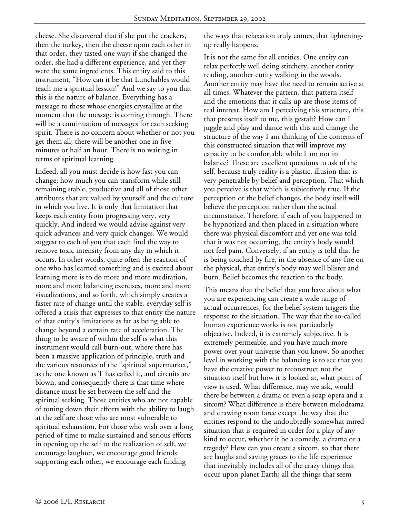cheese. She discovered that if she put the crackers, then the turkey, then the cheese upon each other in that order, they tasted one way; if she changed the order, she had a different experience, and yet they were the same ingredients. This entity said to this instrument, "How can it be that Lunchables would teach me a spiritual lesson?" And we say to you that this is the nature of balance. Everything has a message to those whose energies crystallize at the moment that the message is coming through. There will be a continuation of messages for each seeking spirit. There is no concern about whether or not you get them all; there will be another one in five minutes or half an hour. There is no waiting in terms of spiritual learning.

Indeed, all you must decide is how fast you can change; how much you can transform while still remaining stable, productive and all of those other attributes that are valued by yourself and the culture in which you live. It is only that limitation that keeps each entity from progressing very, very quickly. And indeed we would advise against very quick advances and very quick changes. We would suggest to each of you that each find the way to remove toxic intensity from any day in which it occurs. In other words, quite often the reaction of one who has learned something and is excited about learning more is to do more and more meditation, more and more balancing exercises, more and more visualizations, and so forth, which simply creates a faster rate of change until the stable, everyday self is offered a crisis that expresses to that entity the nature of that entity's limitations as far as being able to change beyond a certain rate of acceleration. The thing to be aware of within the self is what this instrument would call burn-out, where there has been a massive application of principle, truth and the various resources of the "spiritual supermarket," as the one known as T has called it, and circuits are blown, and consequently there is that time where distance must be set between the self and the spiritual seeking. Those entities who are not capable of toning down their efforts with the ability to laugh at the self are those who are most vulnerable to spiritual exhaustion. For those who wish over a long period of time to make sustained and serious efforts in opening up the self to the realization of self, we encourage laughter, we encourage good friends supporting each other, we encourage each finding

the ways that relaxation truly comes, that lighteningup really happens.

It is not the same for all entities. One entity can relax perfectly well doing stitchery, another entity reading, another entity walking in the woods. Another entity may have the need to remain active at all times. Whatever the pattern, that pattern itself and the emotions that it calls up are those items of real interest. How am I perceiving this structure, this that presents itself to me, this gestalt? How can I juggle and play and dance with this and change the structure of the way I am thinking of the contents of this constructed situation that will improve my capacity to be comfortable while I am not in balance? These are excellent questions to ask of the self, because truly reality is a plastic, illusion that is very penetrable by belief and perception. That which you perceive is that which is subjectively true. If the perception or the belief changes, the body itself will believe the perception rather than the actual circumstance. Therefore, if each of you happened to be hypnotized and then placed in a situation where there was physical discomfort and yet one was told that it was not occurring, the entity's body would not feel pain. Conversely, if an entity is told that he is being touched by fire, in the absence of any fire on the physical, that entity's body may well blister and burn. Belief becomes the reaction to the body.

This means that the belief that you have about what you are experiencing can create a wide range of actual occurrences, for the belief system triggers the response to the situation. The way that the so-called human experience works is not particularly objective. Indeed, it is extremely subjective. It is extremely permeable, and you have much more power over your universe than you know. So another level in working with the balancing is to see that you have the creative power to reconstruct not the situation itself but how it is looked at, what point of view is used. What difference, may we ask, would there be between a drama or even a soap opera and a sitcom? What difference is there between melodrama and drawing room farce except the way that the entities respond to the undoubtedly somewhat mired situation that is required in order for a play of any kind to occur, whether it be a comedy, a drama or a tragedy? How can you create a sitcom, so that there are laughs and saving graces to the life experience that inevitably includes all of the crazy things that occur upon planet Earth; all the things that seem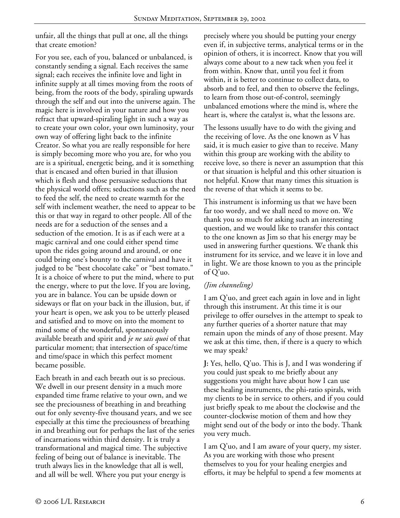unfair, all the things that pull at one, all the things that create emotion?

For you see, each of you, balanced or unbalanced, is constantly sending a signal. Each receives the same signal; each receives the infinite love and light in infinite supply at all times moving from the roots of being, from the roots of the body, spiraling upwards through the self and out into the universe again. The magic here is involved in your nature and how you refract that upward-spiraling light in such a way as to create your own color, your own luminosity, your own way of offering light back to the infinite Creator. So what you are really responsible for here is simply becoming more who you are, for who you are is a spiritual, energetic being, and it is something that is encased and often buried in that illusion which is flesh and those persuasive seductions that the physical world offers; seductions such as the need to feed the self, the need to create warmth for the self with inclement weather, the need to appear to be this or that way in regard to other people. All of the needs are for a seduction of the senses and a seduction of the emotion. It is as if each were at a magic carnival and one could either spend time upon the rides going around and around, or one could bring one's bounty to the carnival and have it judged to be "best chocolate cake" or "best tomato." It is a choice of where to put the mind, where to put the energy, where to put the love. If you are loving, you are in balance. You can be upside down or sideways or flat on your back in the illusion, but, if your heart is open, we ask you to be utterly pleased and satisfied and to move on into the moment to mind some of the wonderful, spontaneously available breath and spirit and *je ne sais quoi* of that particular moment; that intersection of space/time and time/space in which this perfect moment became possible.

Each breath in and each breath out is so precious. We dwell in our present density in a much more expanded time frame relative to your own, and we see the preciousness of breathing in and breathing out for only seventy-five thousand years, and we see especially at this time the preciousness of breathing in and breathing out for perhaps the last of the series of incarnations within third density. It is truly a transformational and magical time. The subjective feeling of being out of balance is inevitable. The truth always lies in the knowledge that all is well, and all will be well. Where you put your energy is

precisely where you should be putting your energy even if, in subjective terms, analytical terms or in the opinion of others, it is incorrect. Know that you will always come about to a new tack when you feel it from within. Know that, until you feel it from within, it is better to continue to collect data, to absorb and to feel, and then to observe the feelings, to learn from those out-of-control, seemingly unbalanced emotions where the mind is, where the heart is, where the catalyst is, what the lessons are.

The lessons usually have to do with the giving and the receiving of love. As the one known as V has said, it is much easier to give than to receive. Many within this group are working with the ability to receive love, so there is never an assumption that this or that situation is helpful and this other situation is not helpful. Know that many times this situation is the reverse of that which it seems to be.

This instrument is informing us that we have been far too wordy, and we shall need to move on. We thank you so much for asking such an interesting question, and we would like to transfer this contact to the one known as Jim so that his energy may be used in answering further questions. We thank this instrument for its service, and we leave it in love and in light. We are those known to you as the principle of Q'uo.

## *(Jim channeling)*

I am Q'uo, and greet each again in love and in light through this instrument. At this time it is our privilege to offer ourselves in the attempt to speak to any further queries of a shorter nature that may remain upon the minds of any of those present. May we ask at this time, then, if there is a query to which we may speak?

**J:** Yes, hello, Q'uo. This is J, and I was wondering if you could just speak to me briefly about any suggestions you might have about how I can use these healing instruments, the phi-ratio spirals, with my clients to be in service to others, and if you could just briefly speak to me about the clockwise and the counter-clockwise motion of them and how they might send out of the body or into the body. Thank you very much.

I am Q'uo, and I am aware of your query, my sister. As you are working with those who present themselves to you for your healing energies and efforts, it may be helpful to spend a few moments at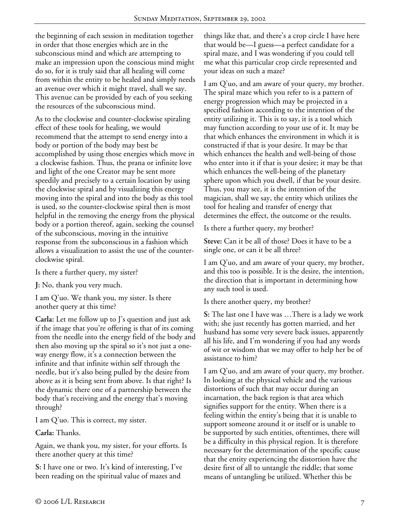the beginning of each session in meditation together in order that those energies which are in the subconscious mind and which are attempting to make an impression upon the conscious mind might do so, for it is truly said that all healing will come from within the entity to be healed and simply needs an avenue over which it might travel, shall we say. This avenue can be provided by each of you seeking the resources of the subconscious mind.

As to the clockwise and counter-clockwise spiraling effect of these tools for healing, we would recommend that the attempt to send energy into a body or portion of the body may best be accomplished by using those energies which move in a clockwise fashion. Thus, the prana or infinite love and light of the one Creator may be sent more speedily and precisely to a certain location by using the clockwise spiral and by visualizing this energy moving into the spiral and into the body as this tool is used, so the counter-clockwise spiral then is most helpful in the removing the energy from the physical body or a portion thereof, again, seeking the counsel of the subconscious, moving in the intuitive response from the subconscious in a fashion which allows a visualization to assist the use of the counterclockwise spiral.

Is there a further query, my sister?

**J:** No, thank you very much.

I am Q'uo. We thank you, my sister. Is there another query at this time?

**Carla:** Let me follow up to J's question and just ask if the image that you're offering is that of its coming from the needle into the energy field of the body and then also moving up the spiral so it's not just a oneway energy flow, it's a connection between the infinite and that infinite within self through the needle, but it's also being pulled by the desire from above as it is being sent from above. Is that right? Is the dynamic there one of a partnership between the body that's receiving and the energy that's moving through?

I am Q'uo. This is correct, my sister.

**Carla:** Thanks.

Again, we thank you, my sister, for your efforts. Is there another query at this time?

**S:** I have one or two. It's kind of interesting, I've been reading on the spiritual value of mazes and

things like that, and there's a crop circle I have here that would be—I guess—a perfect candidate for a spiral maze, and I was wondering if you could tell me what this particular crop circle represented and your ideas on such a maze?

I am Q'uo, and am aware of your query, my brother. The spiral maze which you refer to is a pattern of energy progression which may be projected in a specified fashion according to the intention of the entity utilizing it. This is to say, it is a tool which may function according to your use of it. It may be that which enhances the environment in which it is constructed if that is your desire. It may be that which enhances the health and well-being of those who enter into it if that is your desire; it may be that which enhances the well-being of the planetary sphere upon which you dwell, if that be your desire. Thus, you may see, it is the intention of the magician, shall we say, the entity which utilizes the tool for healing and transfer of energy that determines the effect, the outcome or the results.

Is there a further query, my brother?

**Steve:** Can it be all of those? Does it have to be a single one, or can it be all three?

I am Q'uo, and am aware of your query, my brother, and this too is possible. It is the desire, the intention, the direction that is important in determining how any such tool is used.

Is there another query, my brother?

**S:** The last one I have was …There is a lady we work with; she just recently has gotten married, and her husband has some very severe back issues, apparently all his life, and I'm wondering if you had any words of wit or wisdom that we may offer to help her be of assistance to him?

I am Q'uo, and am aware of your query, my brother. In looking at the physical vehicle and the various distortions of such that may occur during an incarnation, the back region is that area which signifies support for the entity. When there is a feeling within the entity's being that it is unable to support someone around it or itself or is unable to be supported by such entities, oftentimes, there will be a difficulty in this physical region. It is therefore necessary for the determination of the specific cause that the entity experiencing the distortion have the desire first of all to untangle the riddle; that some means of untangling be utilized. Whether this be